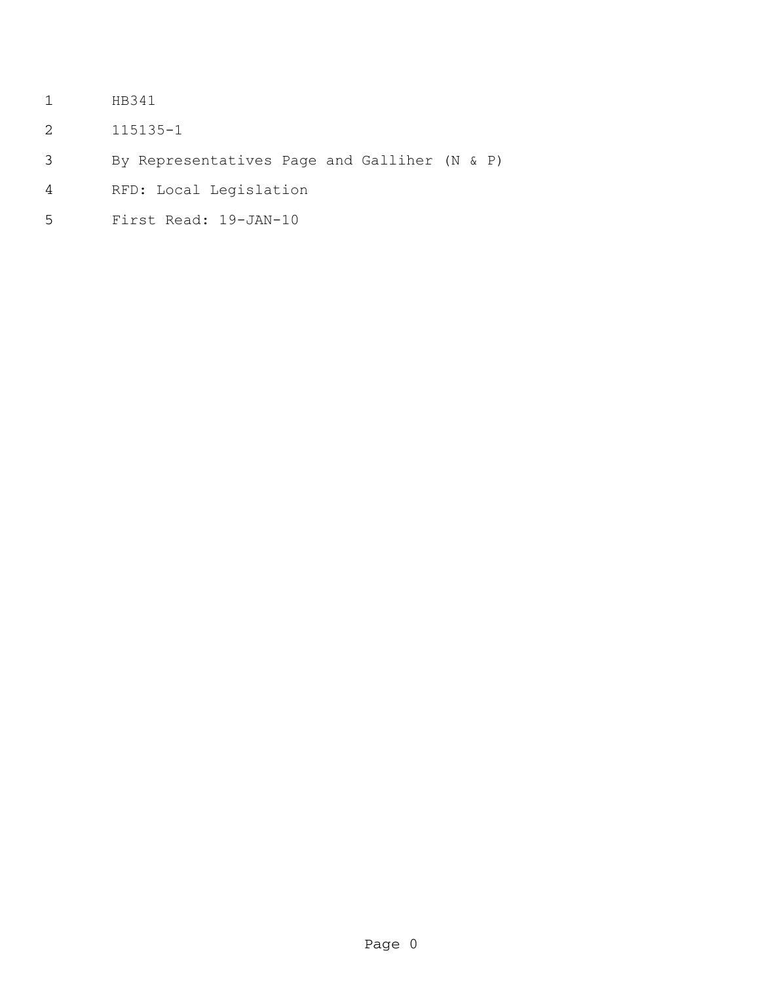- HB341
- 115135-1
- By Representatives Page and Galliher (N & P)
- RFD: Local Legislation
- First Read: 19-JAN-10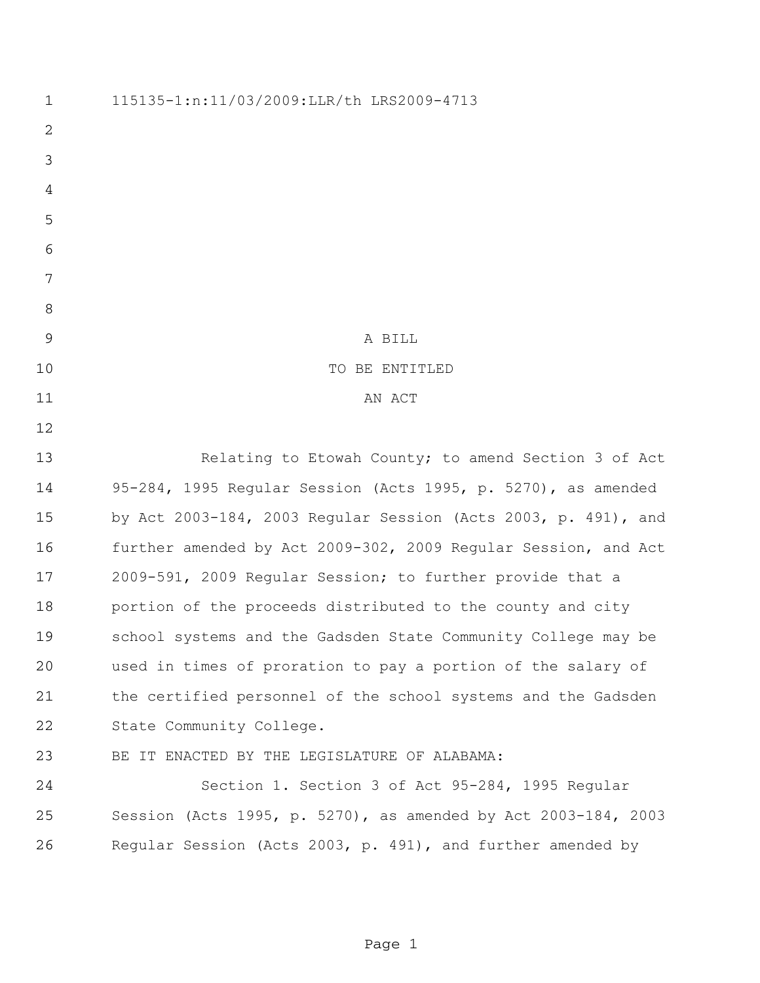| $\mathbf 1$    | 115135-1:n:11/03/2009:LLR/th LRS2009-4713                      |
|----------------|----------------------------------------------------------------|
| $\overline{2}$ |                                                                |
| 3              |                                                                |
| 4              |                                                                |
| 5              |                                                                |
| 6              |                                                                |
| 7              |                                                                |
| 8              |                                                                |
| 9              | A BILL                                                         |
| 10             | TO BE ENTITLED                                                 |
| 11             | AN ACT                                                         |
| 12             |                                                                |
| 13             | Relating to Etowah County; to amend Section 3 of Act           |
| 14             | 95-284, 1995 Regular Session (Acts 1995, p. 5270), as amended  |
| 15             | by Act 2003-184, 2003 Regular Session (Acts 2003, p. 491), and |
| 16             | further amended by Act 2009-302, 2009 Regular Session, and Act |
| 17             | 2009-591, 2009 Regular Session; to further provide that a      |
| 18             | portion of the proceeds distributed to the county and city     |
| 19             | school systems and the Gadsden State Community College may be  |
| 20             | used in times of proration to pay a portion of the salary of   |
| 21             | the certified personnel of the school systems and the Gadsden  |
| 22             | State Community College.                                       |
| 23             | BE IT ENACTED BY THE LEGISLATURE OF ALABAMA:                   |
| 24             | Section 1. Section 3 of Act 95-284, 1995 Regular               |
| 25             | Session (Acts 1995, p. 5270), as amended by Act 2003-184, 2003 |
| 26             | Regular Session (Acts 2003, p. 491), and further amended by    |
|                |                                                                |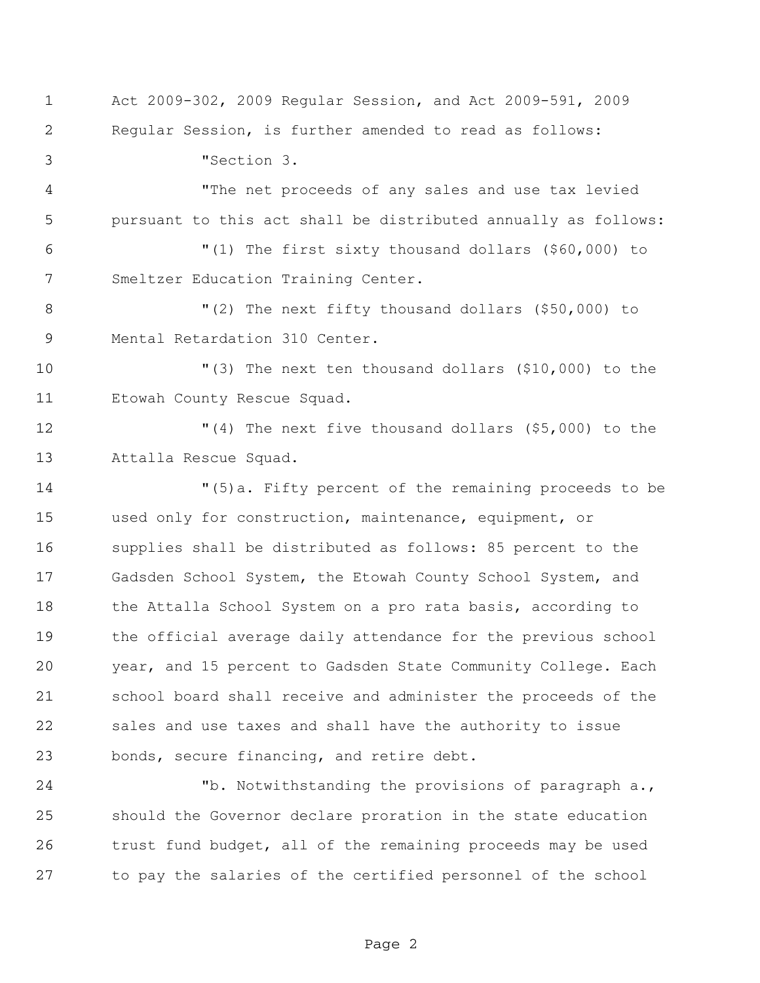Act 2009-302, 2009 Regular Session, and Act 2009-591, 2009 Regular Session, is further amended to read as follows: "Section 3. "The net proceeds of any sales and use tax levied pursuant to this act shall be distributed annually as follows: "(1) The first sixty thousand dollars (\$60,000) to Smeltzer Education Training Center. "(2) The next fifty thousand dollars (\$50,000) to Mental Retardation 310 Center. "(3) The next ten thousand dollars (\$10,000) to the Etowah County Rescue Squad. "(4) The next five thousand dollars (\$5,000) to the Attalla Rescue Squad. "(5)a. Fifty percent of the remaining proceeds to be used only for construction, maintenance, equipment, or supplies shall be distributed as follows: 85 percent to the Gadsden School System, the Etowah County School System, and the Attalla School System on a pro rata basis, according to the official average daily attendance for the previous school year, and 15 percent to Gadsden State Community College. Each school board shall receive and administer the proceeds of the sales and use taxes and shall have the authority to issue bonds, secure financing, and retire debt. "b. Notwithstanding the provisions of paragraph a., should the Governor declare proration in the state education

 trust fund budget, all of the remaining proceeds may be used to pay the salaries of the certified personnel of the school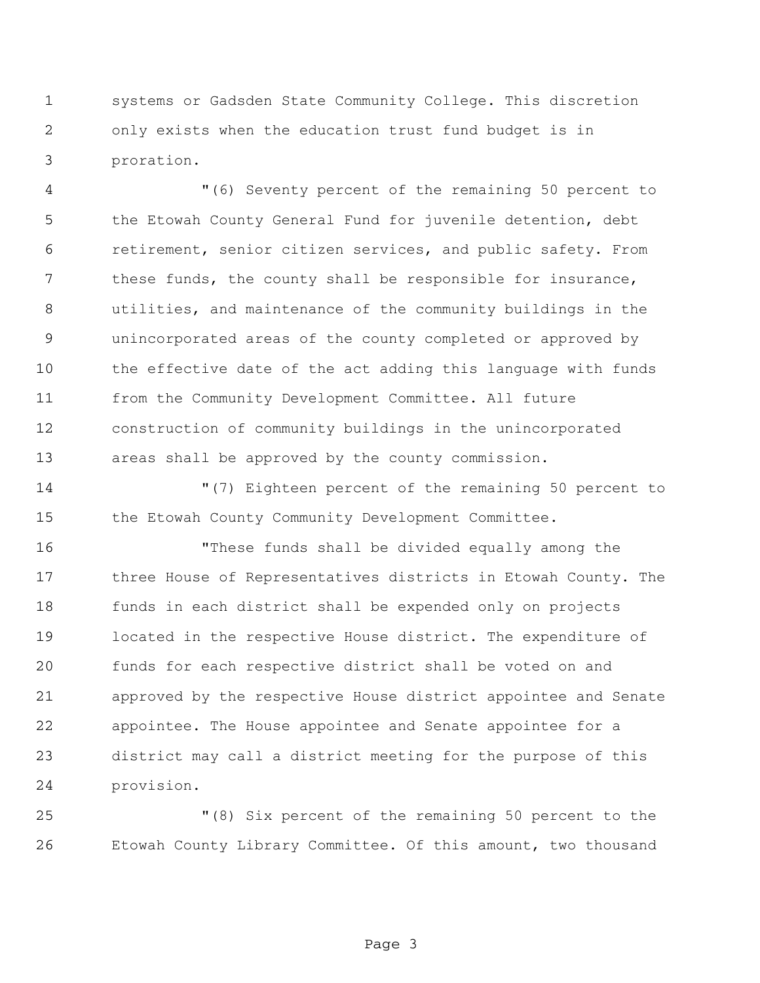systems or Gadsden State Community College. This discretion only exists when the education trust fund budget is in proration.

 "(6) Seventy percent of the remaining 50 percent to the Etowah County General Fund for juvenile detention, debt retirement, senior citizen services, and public safety. From 7 these funds, the county shall be responsible for insurance, utilities, and maintenance of the community buildings in the unincorporated areas of the county completed or approved by the effective date of the act adding this language with funds from the Community Development Committee. All future construction of community buildings in the unincorporated areas shall be approved by the county commission.

 "(7) Eighteen percent of the remaining 50 percent to the Etowah County Community Development Committee.

 "These funds shall be divided equally among the three House of Representatives districts in Etowah County. The funds in each district shall be expended only on projects located in the respective House district. The expenditure of funds for each respective district shall be voted on and approved by the respective House district appointee and Senate appointee. The House appointee and Senate appointee for a district may call a district meeting for the purpose of this provision.

 "(8) Six percent of the remaining 50 percent to the Etowah County Library Committee. Of this amount, two thousand

Page 3